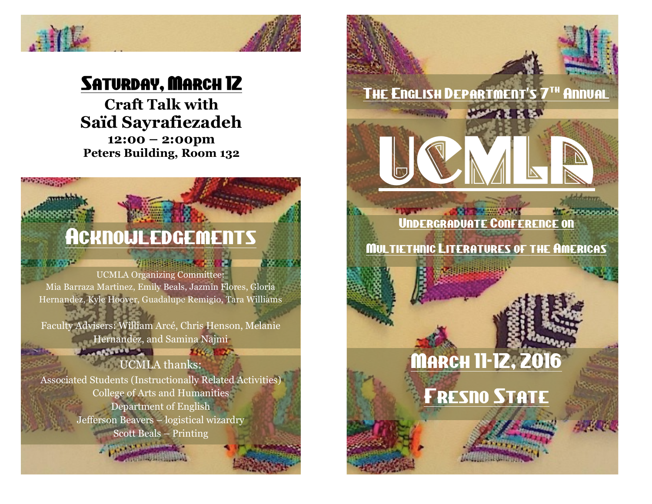# Saturday, March 12

**Craft Talk with Saïd Sayrafiezadeh 12:00 – 2:00pm Peters Building, Room 132**



**Programment** 

**VANAMARIA CONTR** UCMLA Organizing Committee: Mia Barraza Martinez, Emily Beals, Jazmin Flores, Gloria Hernandez, Kyle Hoover, Guadalupe Remigio, Tara Williams

Faculty Advisers: William Arcé, Chris Henson, Melanie Hernandez, and Samina Najmi

UCMLA thanks: Associated Students (Instructionally Related Activities) College of Arts and Humanities Department of English Jefferson Beavers – logistical wizardry Scott Beals – Printing



AND THE